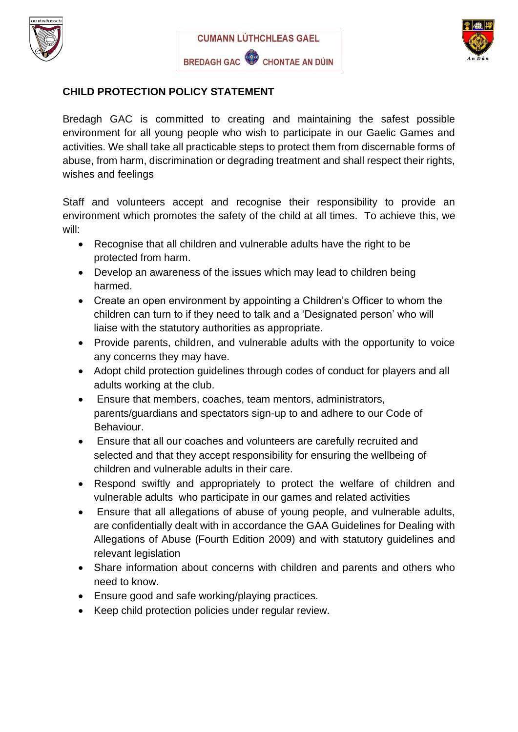





#### **CHILD PROTECTION POLICY STATEMENT**

Bredagh GAC is committed to creating and maintaining the safest possible environment for all young people who wish to participate in our Gaelic Games and activities. We shall take all practicable steps to protect them from discernable forms of abuse, from harm, discrimination or degrading treatment and shall respect their rights, wishes and feelings

Staff and volunteers accept and recognise their responsibility to provide an environment which promotes the safety of the child at all times. To achieve this, we will:

- Recognise that all children and vulnerable adults have the right to be protected from harm.
- Develop an awareness of the issues which may lead to children being harmed.
- Create an open environment by appointing a Children's Officer to whom the children can turn to if they need to talk and a 'Designated person' who will liaise with the statutory authorities as appropriate.
- Provide parents, children, and vulnerable adults with the opportunity to voice any concerns they may have.
- Adopt child protection guidelines through codes of conduct for players and all adults working at the club.
- Ensure that members, coaches, team mentors, administrators, parents/guardians and spectators sign-up to and adhere to our Code of Behaviour.
- Ensure that all our coaches and volunteers are carefully recruited and selected and that they accept responsibility for ensuring the wellbeing of children and vulnerable adults in their care.
- Respond swiftly and appropriately to protect the welfare of children and vulnerable adults who participate in our games and related activities
- Ensure that all allegations of abuse of young people, and vulnerable adults, are confidentially dealt with in accordance the GAA Guidelines for Dealing with Allegations of Abuse (Fourth Edition 2009) and with statutory guidelines and relevant legislation
- Share information about concerns with children and parents and others who need to know.
- Ensure good and safe working/playing practices.
- Keep child protection policies under regular review.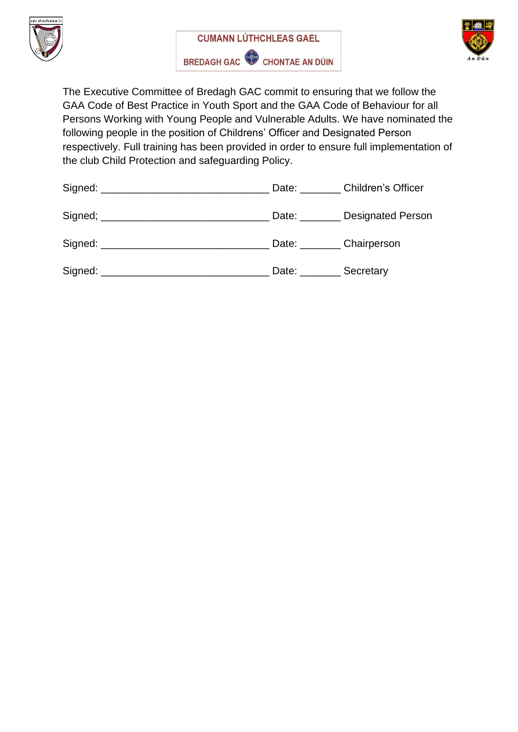





The Executive Committee of Bredagh GAC commit to ensuring that we follow the GAA Code of Best Practice in Youth Sport and the GAA Code of Behaviour for all Persons Working with Young People and Vulnerable Adults. We have nominated the following people in the position of Childrens' Officer and Designated Person respectively. Full training has been provided in order to ensure full implementation of the club Child Protection and safeguarding Policy.

| Signed: ________________________________ |                            | Date: Children's Officer |
|------------------------------------------|----------------------------|--------------------------|
|                                          |                            | Date: Designated Person  |
|                                          | Date: Chairperson          |                          |
|                                          | Date: __________ Secretary |                          |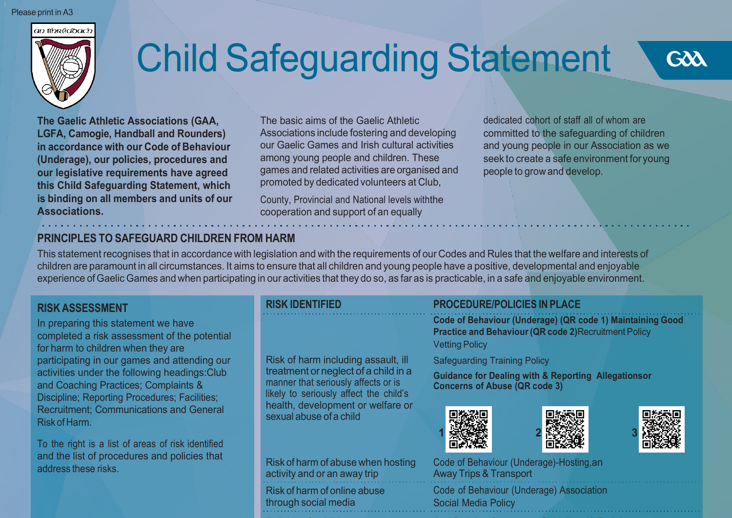#### Please print in A3



# Child Safeguarding Statement



**The Gaelic Athletic Associations (GAA, LGFA, Camogie, Handball and Rounders) in accordance with our Code of Behaviour (Underage), our policies, procedures and our legislative requirements have agreed this Child Safeguarding Statement, which is binding on all members and units of our Associations.**

The basic aims of the Gaelic Athletic Associations include fostering and developing our Gaelic Games and Irish cultural activities among young people and children. These games and related activities are organised and promoted by dedicated volunteers at Club,

County, Provincial and National levels withthe cooperation and support of an equally

dedicated cohort of staff all of whom are committed to the safeguarding of children and young people in our Association as we seek to create a safe environment for young people to grow and develop.

#### **PRINCIPLES TO SAFEGUARD CHILDREN FROM HARM**

This statement recognises that in accordance with legislation and with the requirements of our Codes and Rules that the welfare and interests of children are paramount in all circumstances. It aims to ensure that all children and young people have a positive, developmental and enjoyable experience of Gaelic Games and when participating in our activities that they do so, as far as is practicable, in a safe and enjoyable environment.

#### **RISK ASSESSMENT**

In preparing this statement we have completed a risk assessment of the potential for harm to children when they are participating in our games and attending our activities under the following headings:Club and Coaching Practices; Complaints & Discipline; Reporting Procedures; Facilities; Recruitment; Communications and General Risk of Harm.

To the right is a list of areas of risk identified and the list of procedures and policies that address these risks.

|  |  | <b>RISK IDENTIFIED</b> |  |  |
|--|--|------------------------|--|--|
|  |  |                        |  |  |

#### Risk of harm including assault, ill treatment orneglect of a child in a manner that seriously affects or is likely to seriously affect the child's health, development or welfare or sexual abuse of a child

activity and or an away trip Risk of harm of online abuse through social media

## **RISK IDENTIFIED PROCEDURE/POLICIES IN PLACE**

**Code of Behaviour (Underage) (QR code 1) Maintaining Good Practice and Behaviour(QR code 2)**Recruitment Policy Vetting Policy

#### Safeguarding Training Policy

**Guidance for Dealing with & Reporting Allegationsor Concerns of Abuse (QR code 3)**







Risk of harm of abuse when hosting Code of Behaviour (Underage)-Hosting, an<br>activity and or an away trip<br>Away Trips & Transport Code of Behaviour (Underage) Association Social Media Policy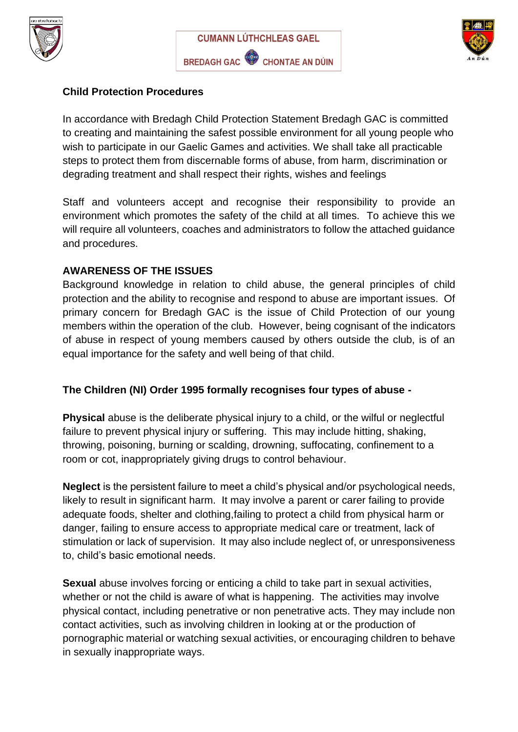





#### **Child Protection Procedures**

In accordance with Bredagh Child Protection Statement Bredagh GAC is committed to creating and maintaining the safest possible environment for all young people who wish to participate in our Gaelic Games and activities. We shall take all practicable steps to protect them from discernable forms of abuse, from harm, discrimination or degrading treatment and shall respect their rights, wishes and feelings

Staff and volunteers accept and recognise their responsibility to provide an environment which promotes the safety of the child at all times. To achieve this we will require all volunteers, coaches and administrators to follow the attached guidance and procedures.

#### **AWARENESS OF THE ISSUES**

Background knowledge in relation to child abuse, the general principles of child protection and the ability to recognise and respond to abuse are important issues. Of primary concern for Bredagh GAC is the issue of Child Protection of our young members within the operation of the club. However, being cognisant of the indicators of abuse in respect of young members caused by others outside the club, is of an equal importance for the safety and well being of that child.

#### **The Children (NI) Order 1995 formally recognises four types of abuse -**

**Physical** abuse is the deliberate physical injury to a child, or the wilful or neglectful failure to prevent physical injury or suffering. This may include hitting, shaking, throwing, poisoning, burning or scalding, drowning, suffocating, confinement to a room or cot, inappropriately giving drugs to control behaviour.

**Neglect** is the persistent failure to meet a child's physical and/or psychological needs, likely to result in significant harm. It may involve a parent or carer failing to provide adequate foods, shelter and clothing,failing to protect a child from physical harm or danger, failing to ensure access to appropriate medical care or treatment, lack of stimulation or lack of supervision. It may also include neglect of, or unresponsiveness to, child's basic emotional needs.

**Sexual** abuse involves forcing or enticing a child to take part in sexual activities, whether or not the child is aware of what is happening. The activities may involve physical contact, including penetrative or non penetrative acts. They may include non contact activities, such as involving children in looking at or the production of pornographic material or watching sexual activities, or encouraging children to behave in sexually inappropriate ways.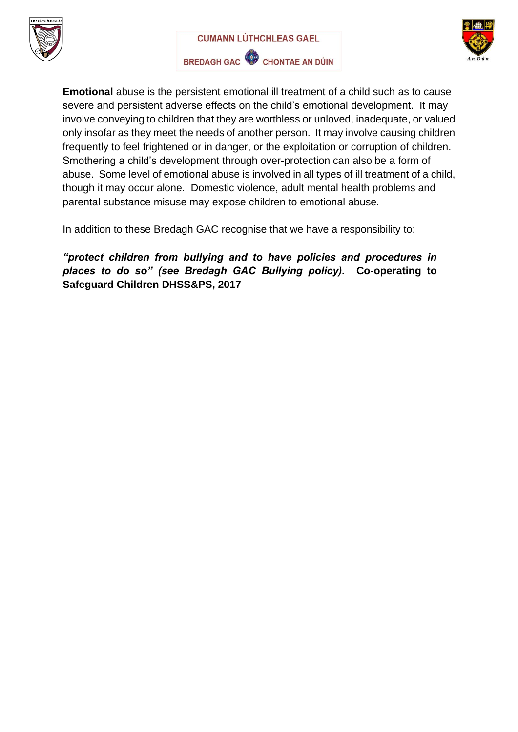





**Emotional** abuse is the persistent emotional ill treatment of a child such as to cause severe and persistent adverse effects on the child's emotional development. It may involve conveying to children that they are worthless or unloved, inadequate, or valued only insofar as they meet the needs of another person. It may involve causing children frequently to feel frightened or in danger, or the exploitation or corruption of children. Smothering a child's development through over-protection can also be a form of abuse. Some level of emotional abuse is involved in all types of ill treatment of a child, though it may occur alone. Domestic violence, adult mental health problems and parental substance misuse may expose children to emotional abuse.

In addition to these Bredagh GAC recognise that we have a responsibility to:

*"protect children from bullying and to have policies and procedures in places to do so" (see Bredagh GAC Bullying policy).* **Co-operating to Safeguard Children DHSS&PS, 2017**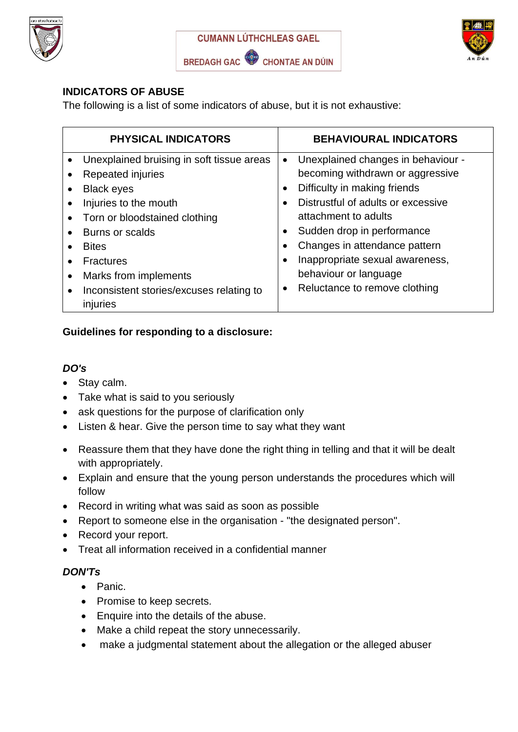





### **INDICATORS OF ABUSE**

The following is a list of some indicators of abuse, but it is not exhaustive:

| <b>PHYSICAL INDICATORS</b>                                        | <b>BEHAVIOURAL INDICATORS</b>                   |
|-------------------------------------------------------------------|-------------------------------------------------|
| Unexplained bruising in soft tissue areas<br>$\bullet$            | Unexplained changes in behaviour -<br>$\bullet$ |
| Repeated injuries                                                 | becoming withdrawn or aggressive                |
| <b>Black eyes</b><br>$\bullet$                                    | Difficulty in making friends<br>$\bullet$       |
| Injuries to the mouth<br>$\bullet$                                | Distrustful of adults or excessive              |
| Torn or bloodstained clothing<br>$\bullet$                        | attachment to adults                            |
| Burns or scalds<br>$\bullet$                                      | Sudden drop in performance                      |
| <b>Bites</b>                                                      | Changes in attendance pattern                   |
| <b>Fractures</b>                                                  | Inappropriate sexual awareness,                 |
| Marks from implements<br>$\bullet$                                | behaviour or language                           |
| Inconsistent stories/excuses relating to<br>$\bullet$<br>injuries | Reluctance to remove clothing<br>$\bullet$      |

#### **Guidelines for responding to a disclosure:**

#### *DO's*

- Stay calm.
- Take what is said to you seriously
- ask questions for the purpose of clarification only
- Listen & hear. Give the person time to say what they want
- Reassure them that they have done the right thing in telling and that it will be dealt with appropriately.
- Explain and ensure that the young person understands the procedures which will follow
- Record in writing what was said as soon as possible
- Report to someone else in the organisation "the designated person".
- Record your report.
- Treat all information received in a confidential manner

#### *DON'Ts*

- Panic.
- Promise to keep secrets.
- Enquire into the details of the abuse.
- Make a child repeat the story unnecessarily.
- make a judgmental statement about the allegation or the alleged abuser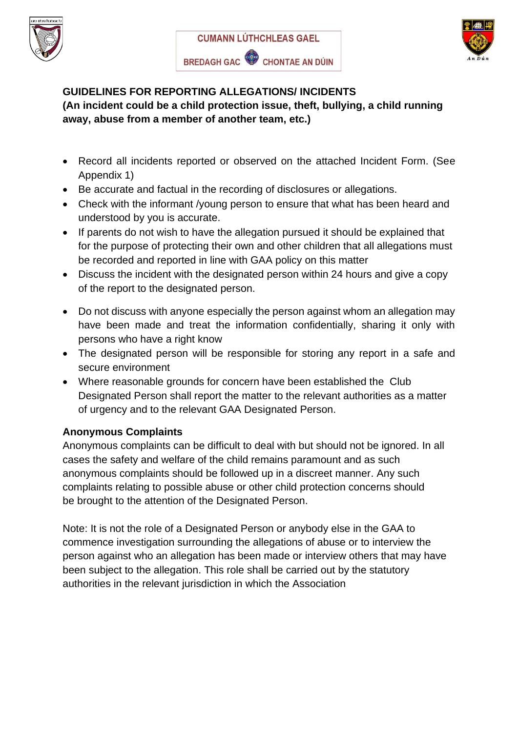





#### **GUIDELINES FOR REPORTING ALLEGATIONS/ INCIDENTS (An incident could be a child protection issue, theft, bullying, a child running away, abuse from a member of another team, etc.)**

- Record all incidents reported or observed on the attached Incident Form. (See Appendix 1)
- Be accurate and factual in the recording of disclosures or allegations.
- Check with the informant /young person to ensure that what has been heard and understood by you is accurate.
- If parents do not wish to have the allegation pursued it should be explained that for the purpose of protecting their own and other children that all allegations must be recorded and reported in line with GAA policy on this matter
- Discuss the incident with the designated person within 24 hours and give a copy of the report to the designated person.
- Do not discuss with anyone especially the person against whom an allegation may have been made and treat the information confidentially, sharing it only with persons who have a right know
- The designated person will be responsible for storing any report in a safe and secure environment
- Where reasonable grounds for concern have been established the Club Designated Person shall report the matter to the relevant authorities as a matter of urgency and to the relevant GAA Designated Person.

## **Anonymous Complaints**

Anonymous complaints can be difficult to deal with but should not be ignored. In all cases the safety and welfare of the child remains paramount and as such anonymous complaints should be followed up in a discreet manner. Any such complaints relating to possible abuse or other child protection concerns should be brought to the attention of the Designated Person.

Note: It is not the role of a Designated Person or anybody else in the GAA to commence investigation surrounding the allegations of abuse or to interview the person against who an allegation has been made or interview others that may have been subject to the allegation. This role shall be carried out by the statutory authorities in the relevant jurisdiction in which the Association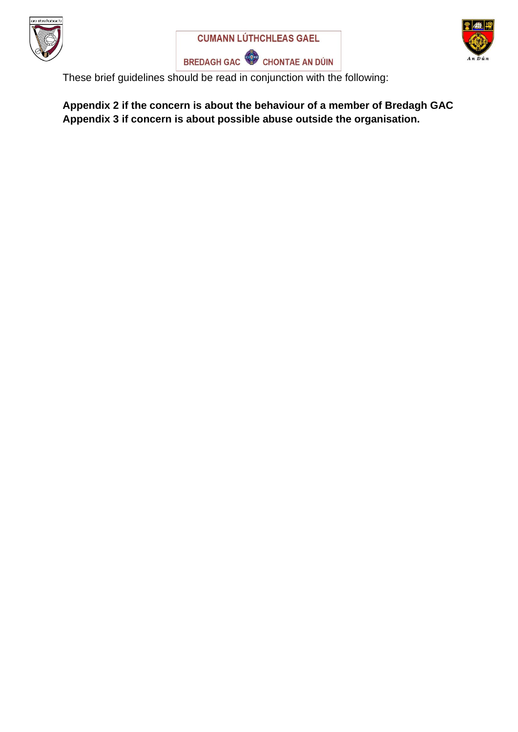





These brief guidelines should be read in conjunction with the following:

**Appendix 2 if the concern is about the behaviour of a member of Bredagh GAC Appendix 3 if concern is about possible abuse outside the organisation.**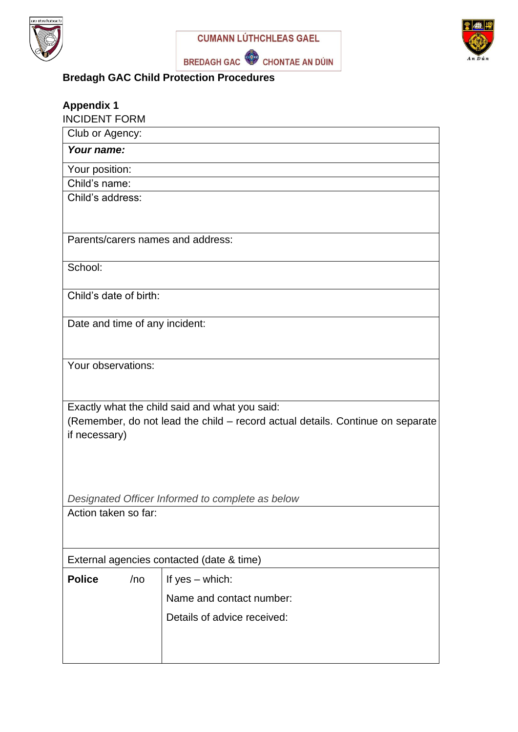





## **Bredagh GAC Child Protection Procedures**

| <b>Appendix 1</b><br><b>INCIDENT FORM</b> |     |                                                                                                                                  |  |
|-------------------------------------------|-----|----------------------------------------------------------------------------------------------------------------------------------|--|
| Club or Agency:                           |     |                                                                                                                                  |  |
| Your name:                                |     |                                                                                                                                  |  |
| Your position:                            |     |                                                                                                                                  |  |
| Child's name:                             |     |                                                                                                                                  |  |
| Child's address:                          |     |                                                                                                                                  |  |
|                                           |     | Parents/carers names and address:                                                                                                |  |
| School:                                   |     |                                                                                                                                  |  |
| Child's date of birth:                    |     |                                                                                                                                  |  |
| Date and time of any incident:            |     |                                                                                                                                  |  |
| Your observations:                        |     |                                                                                                                                  |  |
| if necessary)                             |     | Exactly what the child said and what you said:<br>(Remember, do not lead the child - record actual details. Continue on separate |  |
|                                           |     | Designated Officer Informed to complete as below                                                                                 |  |
| Action taken so far:                      |     |                                                                                                                                  |  |
|                                           |     | External agencies contacted (date & time)                                                                                        |  |
| <b>Police</b>                             | /no | If $yes - which:$                                                                                                                |  |
|                                           |     | Name and contact number:                                                                                                         |  |
|                                           |     | Details of advice received:                                                                                                      |  |
|                                           |     |                                                                                                                                  |  |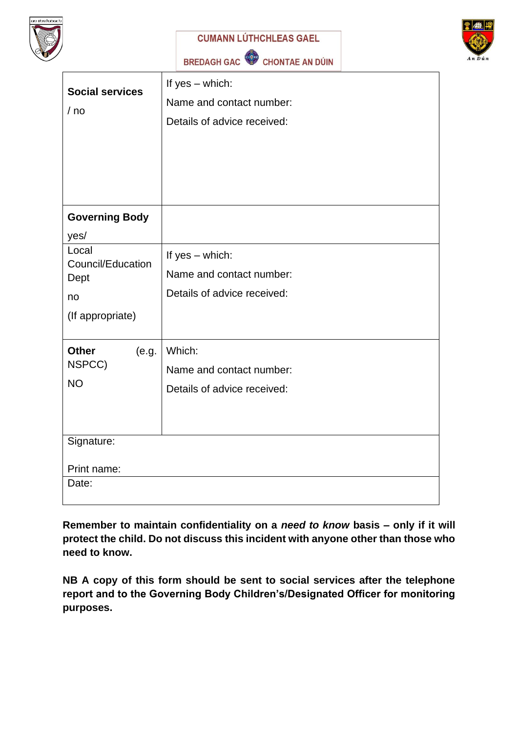

**CUMANN LÚTHCHLEAS GAEL** 

BREDAGH GAC CHONTAE AN DÚIN



| <b>Social services</b><br>/ no | If $yes - which:$<br>Name and contact number:<br>Details of advice received: |
|--------------------------------|------------------------------------------------------------------------------|
| <b>Governing Body</b>          |                                                                              |
| yes/                           |                                                                              |
| Local<br>Council/Education     | If $yes - which:$                                                            |
| Dept                           | Name and contact number:                                                     |
| no                             | Details of advice received:                                                  |
| (If appropriate)               |                                                                              |
| <b>Other</b><br>(e.g.          | Which:                                                                       |
| NSPCC)                         | Name and contact number:                                                     |
| <b>NO</b>                      | Details of advice received:                                                  |
|                                |                                                                              |
|                                |                                                                              |
| Signature:                     |                                                                              |
| Print name:                    |                                                                              |
| Date:                          |                                                                              |

**Remember to maintain confidentiality on a** *need to know* **basis – only if it will protect the child. Do not discuss this incident with anyone other than those who need to know.**

**NB A copy of this form should be sent to social services after the telephone report and to the Governing Body Children's/Designated Officer for monitoring purposes.**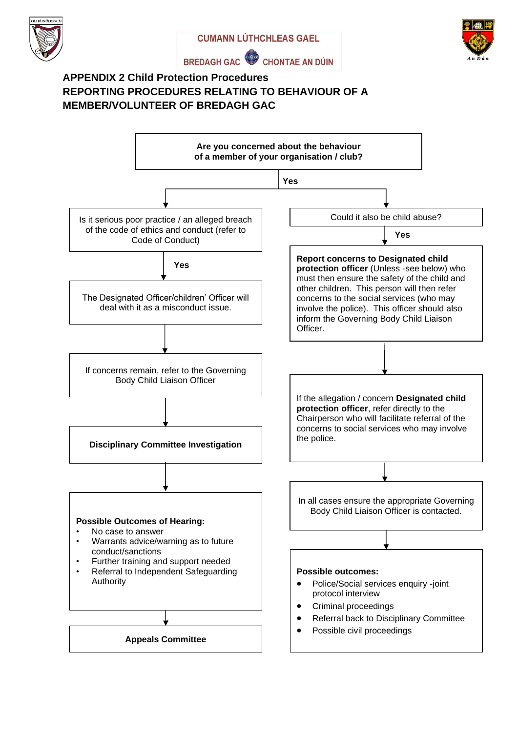







#### **APPENDIX 2 Child Protection Procedures REPORTING PROCEDURES RELATING TO BEHAVIOUR OF A MEMBER/VOLUNTEER OF BREDAGH GAC**

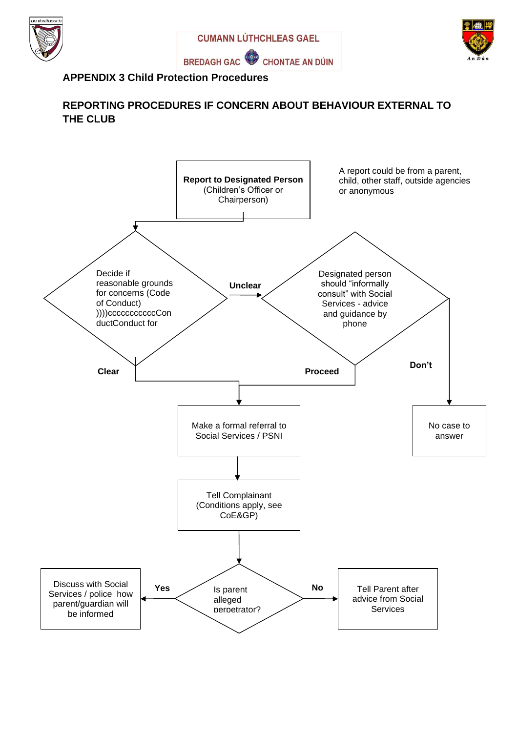





#### **APPENDIX 3 Child Protection Procedures**

### **REPORTING PROCEDURES IF CONCERN ABOUT BEHAVIOUR EXTERNAL TO THE CLUB**